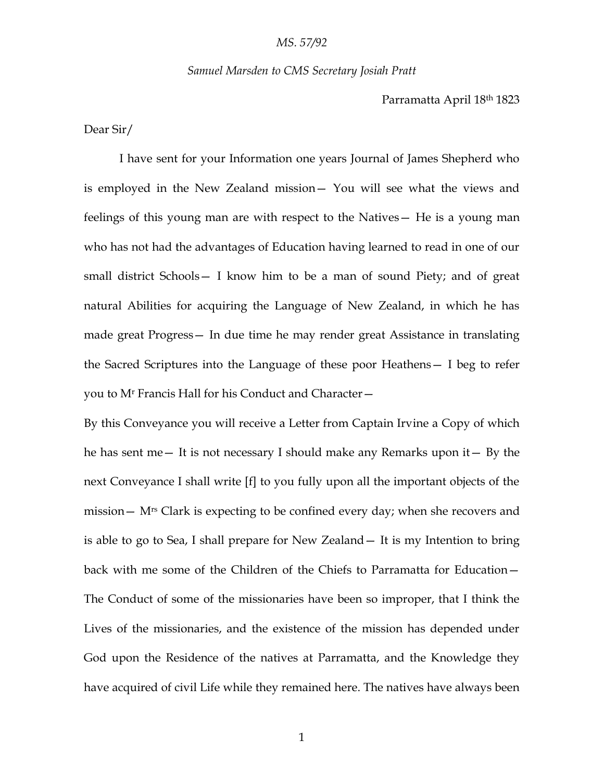## *MS. 57/92*

## *Samuel Marsden to CMS Secretary Josiah Pratt*

Parramatta April 18th 1823

Dear Sir/

I have sent for your Information one years Journal of James Shepherd who is employed in the New Zealand mission— You will see what the views and feelings of this young man are with respect to the Natives— He is a young man who has not had the advantages of Education having learned to read in one of our small district Schools— I know him to be a man of sound Piety; and of great natural Abilities for acquiring the Language of New Zealand, in which he has made great Progress— In due time he may render great Assistance in translating the Sacred Scriptures into the Language of these poor Heathens— I beg to refer you to M<sup>r</sup> Francis Hall for his Conduct and Character—

By this Conveyance you will receive a Letter from Captain Irvine a Copy of which he has sent me— It is not necessary I should make any Remarks upon it— By the next Conveyance I shall write [f] to you fully upon all the important objects of the mission— Mrs Clark is expecting to be confined every day; when she recovers and is able to go to Sea, I shall prepare for New Zealand— It is my Intention to bring back with me some of the Children of the Chiefs to Parramatta for Education— The Conduct of some of the missionaries have been so improper, that I think the Lives of the missionaries, and the existence of the mission has depended under God upon the Residence of the natives at Parramatta, and the Knowledge they have acquired of civil Life while they remained here. The natives have always been